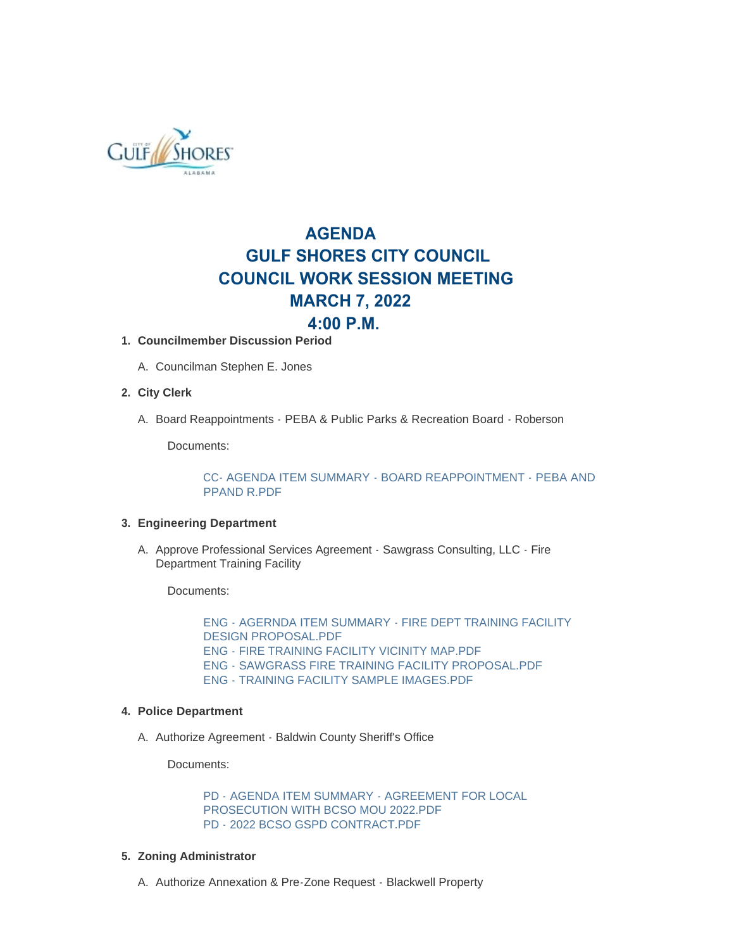

# **AGENDA GULF SHORES CITY COUNCIL COUNCIL WORK SESSION MEETING MARCH 7, 2022 4:00 P.M.**

# **Councilmember Discussion Period 1.**

A. Councilman Stephen E. Jones

### **City Clerk 2.**

A. Board Reappointments - PEBA & Public Parks & Recreation Board - Roberson

Documents:

[CC- AGENDA ITEM SUMMARY - BOARD REAPPOINTMENT - PEBA AND](https://www.gulfshoresal.gov/AgendaCenter/ViewFile/Item/9811?fileID=21122)  PPAND R.PDF

#### **Engineering Department 3.**

A. Approve Professional Services Agreement - Sawgrass Consulting, LLC - Fire Department Training Facility

Documents:

[ENG - AGERNDA ITEM SUMMARY - FIRE DEPT TRAINING FACILITY](https://www.gulfshoresal.gov/AgendaCenter/ViewFile/Item/9808?fileID=21125)  DESIGN PROPOSAL.PDF [ENG - FIRE TRAINING FACILITY VICINITY MAP.PDF](https://www.gulfshoresal.gov/AgendaCenter/ViewFile/Item/9808?fileID=21114) [ENG - SAWGRASS FIRE TRAINING FACILITY PROPOSAL.PDF](https://www.gulfshoresal.gov/AgendaCenter/ViewFile/Item/9808?fileID=21115) [ENG - TRAINING FACILITY SAMPLE IMAGES.PDF](https://www.gulfshoresal.gov/AgendaCenter/ViewFile/Item/9808?fileID=21116)

#### **Police Department 4.**

A. Authorize Agreement - Baldwin County Sheriff's Office

Documents:

[PD - AGENDA ITEM SUMMARY - AGREEMENT FOR LOCAL](https://www.gulfshoresal.gov/AgendaCenter/ViewFile/Item/9809?fileID=21123)  PROSECUTION WITH BCSO MOU 2022.PDF [PD - 2022 BCSO GSPD CONTRACT.PDF](https://www.gulfshoresal.gov/AgendaCenter/ViewFile/Item/9809?fileID=21118)

#### **Zoning Administrator 5.**

A. Authorize Annexation & Pre-Zone Request - Blackwell Property